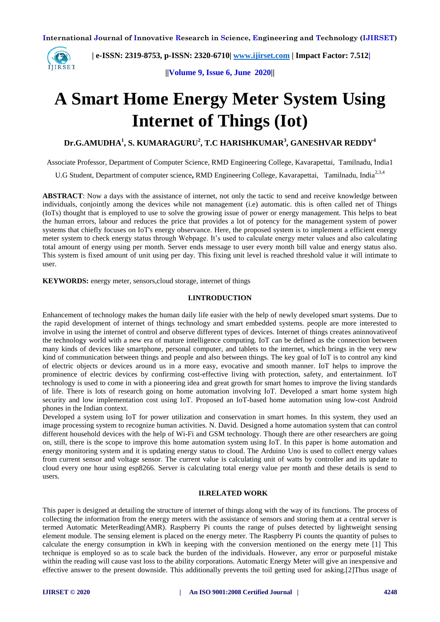

 **| e-ISSN: 2319-8753, p-ISSN: 2320-6710[| www.ijirset.com](http://www.ijirset.com/) | Impact Factor: 7.512|**

**||Volume 9, Issue 6, June 2020||** 

# **A Smart Home Energy Meter System Using Internet of Things (Iot)**

**Dr.G.AMUDHA<sup>1</sup> , S. KUMARAGURU<sup>2</sup> , T.C HARISHKUMAR<sup>3</sup> , GANESHVAR REDDY<sup>4</sup>**

Associate Professor, Department of Computer Science, RMD Engineering College, Kavarapettai, Tamilnadu, India1

U.G Student, Department of computer science, RMD Engineering College, Kavarapettai, Tamilnadu, India<sup>2,3,4</sup>

**ABSTRACT**: Now a days with the assistance of internet, not only the tactic to send and receive knowledge between individuals, conjointly among the devices while not management (i.e) automatic. this is often called net of Things (IoTs) thought that is employed to use to solve the growing issue of power or energy management. This helps to beat the human errors, labour and reduces the price that provides a lot of potency for the management system of power systems that chiefly focuses on IoT's energy observance. Here, the proposed system is to implement a efficient energy meter system to check energy status through Webpage. It's used to calculate energy meter values and also calculating total amount of energy using per month. Server ends message to user every month bill value and energy status also. This system is fixed amount of unit using per day. This fixing unit level is reached threshold value it will intimate to user.

**KEYWORDS:** energy meter, sensors,cloud storage, internet of things

#### **I.INTRODUCTION**

Enhancement of technology makes the human daily life easier with the help of newly developed smart systems. Due to the rapid development of internet of things technology and smart embedded systems. people are more interested to involve in using the internet of control and observe different types of devices. Internet of things creates aninnovativeof the technology world with a new era of mature intelligence computing. IoT can be defined as the connection between many kinds of devices like smartphone, personal computer, and tablets to the internet, which brings in the very new kind of communication between things and people and also between things. The key goal of IoT is to control any kind of electric objects or devices around us in a more easy, evocative and smooth manner. IoT helps to improve the prominence of electric devices by confirming cost-effective living with protection, safety, and entertainment. IoT technology is used to come in with a pioneering idea and great growth for smart homes to improve the living standards of life. There is lots of research going on home automation involving IoT*.* Developed a smart home system high security and low implementation cost using IoT*.* Proposed an IoT-based home automation using low-cost Android phones in the Indian context.

Developed a system using IoT for power utilization and conservation in smart homes. In this system, they used an image processing system to recognize human activities. N. David*.* Designed a home automation system that can control different household devices with the help of Wi-Fi and GSM technology. Though there are other researchers are going on, still, there is the scope to improve this home automation system using IoT. In this paper is home automation and energy monitoring system and it is updating energy status to cloud. The Arduino Uno is used to collect energy values from current sensor and voltage sensor. The current value is calculating unit of watts by controller and its update to cloud every one hour using esp8266. Server is calculating total energy value per month and these details is send to users.

#### **II.RELATED WORK**

This paper is designed at detailing the structure of internet of things along with the way of its functions. The process of collecting the information from the energy meters with the assistance of sensors and storing them at a central server is termed Automatic MeterReading(AMR). Raspberry Pi counts the range of pulses detected by lightweight sensing element module. The sensing element is placed on the energy meter. The Raspberry Pi counts the quantity of pulses to calculate the energy consumption in kWh in keeping with the conversion mentioned on the energy mete [1] This technique is employed so as to scale back the burden of the individuals. However, any error or purposeful mistake within the reading will cause vast loss to the ability corporations. Automatic Energy Meter will give an inexpensive and effective answer to the present downside. This additionally prevents the toil getting used for asking.[2]Thus usage of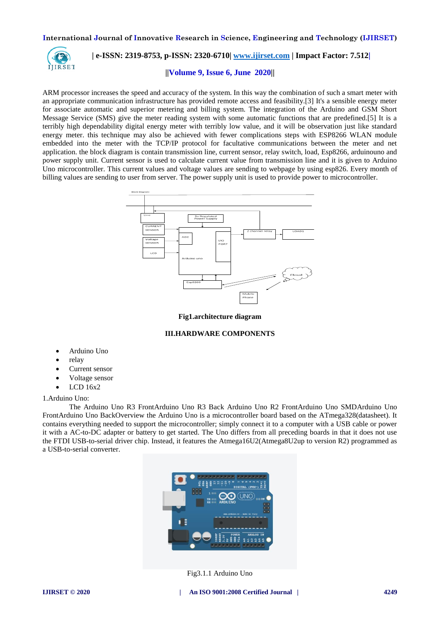

# **| e-ISSN: 2319-8753, p-ISSN: 2320-6710[| www.ijirset.com](http://www.ijirset.com/) | Impact Factor: 7.512|**

#### **||Volume 9, Issue 6, June 2020||**

ARM processor increases the speed and accuracy of the system. In this way the combination of such a smart meter with an appropriate communication infrastructure has provided remote access and feasibility.[3] It's a sensible energy meter for associate automatic and superior metering and billing system. The integration of the Arduino and GSM Short Message Service (SMS) give the meter reading system with some automatic functions that are predefined.[5] It is a terribly high dependability digital energy meter with terribly low value, and it will be observation just like standard energy meter. this technique may also be achieved with fewer complications steps with ESP8266 WLAN module embedded into the meter with the TCP/IP protocol for facultative communications between the meter and net application. the block diagram is contain transmission line, current sensor, relay switch, load, Esp8266, arduinouno and power supply unit. Current sensor is used to calculate current value from transmission line and it is given to Arduino Uno microcontroller. This current values and voltage values are sending to webpage by using esp826. Every month of billing values are sending to user from server. The power supply unit is used to provide power to microcontroller.



**Fig1.architecture diagram**

#### **III.HARDWARE COMPONENTS**

- Arduino Uno
- relay
- Current sensor
- Voltage sensor
- LCD 16x2

1.Arduino Uno:

The Arduino Uno R3 FrontArduino Uno R3 Back Arduino Uno R2 FrontArduino Uno SMDArduino Uno FrontArduino Uno BackOverview the Arduino Uno is a microcontroller board based on the ATmega328(datasheet). It contains everything needed to support the microcontroller; simply connect it to a computer with a USB cable or power it with a AC-to-DC adapter or battery to get started. The Uno differs from all preceding boards in that it does not use the FTDI USB-to-serial driver chip. Instead, it features the Atmega16U2(Atmega8U2up to version R2) programmed as a USB-to-serial converter.



Fig3.1.1 Arduino Uno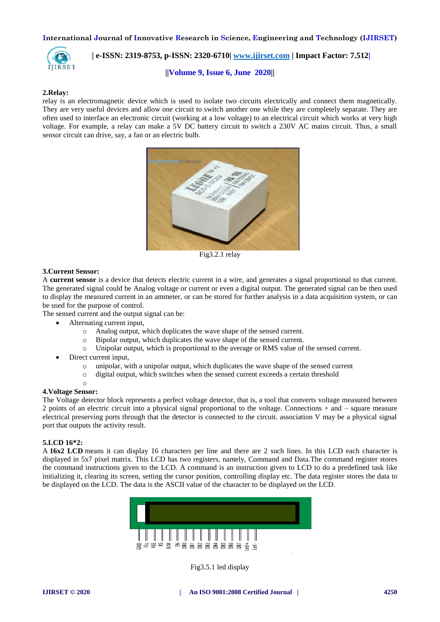

# **| e-ISSN: 2319-8753, p-ISSN: 2320-6710[| www.ijirset.com](http://www.ijirset.com/) | Impact Factor: 7.512|**

**||Volume 9, Issue 6, June 2020||** 

#### **2.Relay:**

relay is an electromagnetic device which is used to isolate two circuits electrically and connect them magnetically. They are very useful devices and allow one circuit to switch another one while they are completely separate. They are often used to interface an electronic circuit (working at a low voltage) to an electrical circuit which works at very high voltage. For example, a relay can make a 5V DC battery circuit to switch a 230V AC mains circuit. Thus, a small sensor circuit can drive, say, a fan or an electric bulb.



Fig3.2.1 relay

#### **3.Current Sensor:**

A **current sensor** is a device that detects [electric current](https://en.wikipedia.org/wiki/Electric_current) in a wire, and generates a signal proportional to that current. The generated signal could be Analog voltage or current or even a digital output. The generated signal can be then used to display the measured current in an ammeter, or can be stored for further analysis in a data acquisition system, or can be used for the purpose of control.

The sensed current and the output signal can be:

- [Alternating current](https://en.wikipedia.org/wiki/Alternating_current) input,
	- o Analog output, which duplicates the wave shape of the sensed current.
	- o Bipolar output, which duplicates the wave shape of the sensed current.
	- o Unipolar output, which is proportional to the average or RMS value of the sensed current.
	- [Direct current](https://en.wikipedia.org/wiki/Direct_current) input,
		- o unipolar, with a unipolar output, which duplicates the wave shape of the sensed current
		- o digital output, which switches when the sensed current exceeds a certain threshold
		- o

#### **4.Voltage Sensor:**

The Voltage detector block represents a perfect voltage detector, that is, a tool that converts voltage measured between 2 points of an electric circuit into a physical signal proportional to the voltage. Connections + and – square measure electrical preserving ports through that the detector is connected to the circuit. association V may be a physical signal port that outputs the activity result.

#### **5.LCD 16\*2:**

A **16x2 LCD** means it can display 16 characters per line and there are 2 such lines. In this LCD each character is displayed in 5x7 pixel matrix. This LCD has two registers, namely, Command and Data.The command register stores the command instructions given to the LCD. A command is an instruction given to LCD to do a predefined task like initializing it, clearing its screen, setting the cursor position, controlling display etc. The data register stores the data to be displayed on the LCD. The data is the ASCII value of the character to be displayed on the LCD.



Fig3.5.1 led display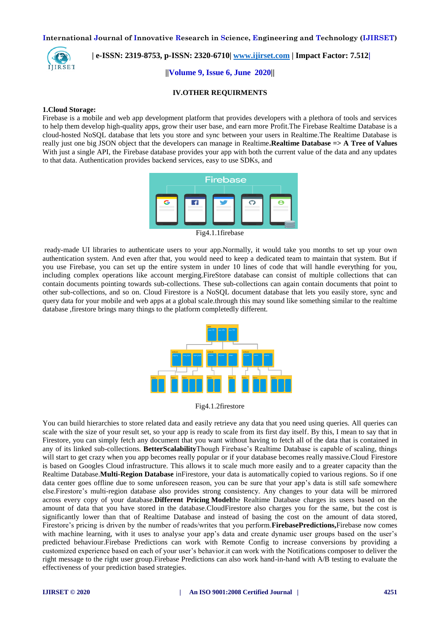

 **| e-ISSN: 2319-8753, p-ISSN: 2320-6710[| www.ijirset.com](http://www.ijirset.com/) | Impact Factor: 7.512|**

**||Volume 9, Issue 6, June 2020||** 

#### **IV.OTHER REQUIRMENTS**

#### **1.Cloud Storage:**

Firebase is a mobile and web app development platform that provides developers with a plethora of tools and services to help them develop high-quality apps, grow their user base, and earn more Profit.The Firebase Realtime Database is a cloud-hosted NoSQL database that lets you store and sync between your users in Realtime.The Realtime Database is really just one big JSON object that the developers can manage in Realtime**.Realtime Database => A Tree of Values** With just a single API, the Firebase database provides your app with both the current value of the data and any updates to that data. Authentication provides backend services, easy to use SDKs, and



Fig4.1.1firebase

ready-made UI libraries to authenticate users to your app.Normally, it would take you months to set up your own authentication system. And even after that, you would need to keep a dedicated team to maintain that system. But if you use Firebase, you can set up the entire system in under 10 lines of code that will handle everything for you, including complex operations like account merging.FireStore database can consist of multiple collections that can contain documents pointing towards sub-collections. These sub-collections can again contain documents that point to other sub-collections, and so on. Cloud Firestore is a NoSQL document database that lets you easily store, sync and query data for your mobile and web apps at a global scale.through this may sound like something similar to the realtime database ,firestore brings many things to the platform completedly different.



Fig4.1.2firestore

You can build hierarchies to store related data and easily retrieve any data that you need using queries. All queries can scale with the size of your result set, so your app is ready to scale from its first day itself. By this, I mean to say that in Firestore, you can simply fetch any document that you want without having to fetch all of the data that is contained in any of its linked sub-collections. **BetterScalability**Though Firebase's Realtime Database is capable of scaling, things will start to get crazy when you app becomes really popular or if your database becomes really massive.Cloud Firestore is based on Googles Cloud infrastructure. This allows it to scale much more easily and to a greater capacity than the Realtime Database.**Multi-Region Database** inFirestore, your data is automatically copied to various regions. So if one data center goes offline due to some unforeseen reason, you can be sure that your app's data is still safe somewhere else.Firestore's multi-region database also provides strong consistency. Any changes to your data will be mirrored across every copy of your database.**Different Pricing Model**the Realtime Database charges its users based on the amount of data that you have stored in the database.CloudFirestore also charges you for the same, but the cost is significantly lower than that of Realtime Database and instead of basing the cost on the amount of data stored, Firestore's pricing is driven by the number of reads/writes that you perform.**[FirebasePredictions,](https://firebase.google.com/docs/predictions/)**Firebase now comes with machine learning, with it uses to analyse your app's data and create dynamic user groups based on the user's predicted behaviour.Firebase Predictions can work with Remote Config to increase conversions by providing a customized experience based on each of your user's behavior.it can work with the Notifications composer to deliver the right message to the right user group.Firebase Predictions can also work hand-in-hand with A/B testing to evaluate the effectiveness of your prediction based strategies.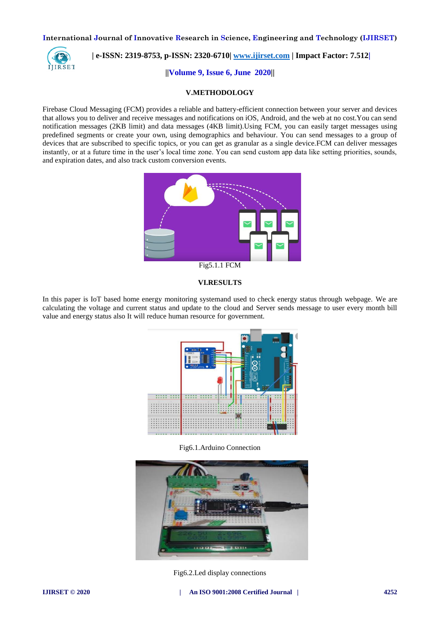

## **| e-ISSN: 2319-8753, p-ISSN: 2320-6710[| www.ijirset.com](http://www.ijirset.com/) | Impact Factor: 7.512|**

**||Volume 9, Issue 6, June 2020||** 

#### **V.METHODOLOGY**

Firebase Cloud Messaging (FCM) provides a reliable and battery-efficient connection between your server and devices that allows you to deliver and receive messages and notifications on iOS, Android, and the web at no cost.You can send notification messages (2KB limit) and data messages (4KB limit).Using FCM, you can easily target messages using predefined segments or create your own, using demographics and behaviour. You can send messages to a group of devices that are subscribed to specific topics, or you can get as granular as a single device.FCM can deliver messages instantly, or at a future time in the user's local time zone. You can send custom app data like setting priorities, sounds, and expiration dates, and also track custom conversion events.



#### **VI.RESULTS**

In this paper is IoT based home energy monitoring systemand used to check energy status through webpage. We are calculating the voltage and current status and update to the cloud and Server sends message to user every month bill value and energy status also It will reduce human resource for government.



Fig6.1.Arduino Connection



Fig6.2.Led display connections